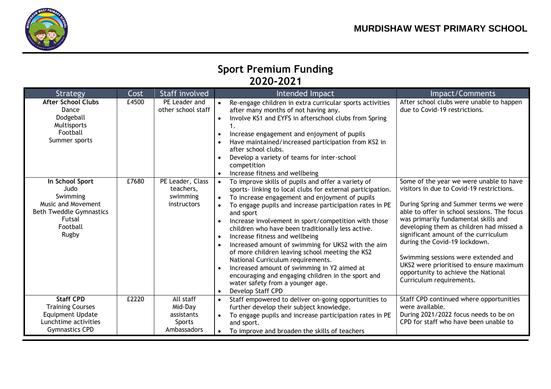

## **Sport Premium Funding 2020-2021**

| Strategy                                                                                                                          | Cost  | Staff involved                                              | Intended Impact                                                                                                                                                                                                                                                                                                                                                                                                                                                                                                                                                                                                                                                                                                                                                                             | Impact/Comments                                                                                                                                                                                                                                                                                                                                                                                                                                                                                 |
|-----------------------------------------------------------------------------------------------------------------------------------|-------|-------------------------------------------------------------|---------------------------------------------------------------------------------------------------------------------------------------------------------------------------------------------------------------------------------------------------------------------------------------------------------------------------------------------------------------------------------------------------------------------------------------------------------------------------------------------------------------------------------------------------------------------------------------------------------------------------------------------------------------------------------------------------------------------------------------------------------------------------------------------|-------------------------------------------------------------------------------------------------------------------------------------------------------------------------------------------------------------------------------------------------------------------------------------------------------------------------------------------------------------------------------------------------------------------------------------------------------------------------------------------------|
| <b>After School Clubs</b><br>Dance<br>Dodgeball<br>Multisports<br>Football<br>Summer sports                                       | £4500 | PE Leader and<br>other school staff                         | Re-engage children in extra curricular sports activities<br>after many months of not having any.<br>Involve KS1 and EYFS in afterschool clubs from Spring<br>$\bullet$<br>Increase engagement and enjoyment of pupils<br>Have maintained/increased participation from KS2 in<br>after school clubs.<br>Develop a variety of teams for inter-school<br>competition                                                                                                                                                                                                                                                                                                                                                                                                                           | After school clubs were unable to happen<br>due to Covid-19 restrictions.                                                                                                                                                                                                                                                                                                                                                                                                                       |
| In School Sport<br>Judo<br>Swimming<br>Music and Movement<br><b>Beth Tweddle Gymnastics</b><br><b>Futsal</b><br>Football<br>Rugby | £7680 | PE Leader, Class<br>teachers,<br>swimming<br>instructors    | Increase fitness and wellbeing<br>$\bullet$<br>To improve skills of pupils and offer a variety of<br>sports- linking to local clubs for external participation.<br>To increase engagement and enjoyment of pupils<br>$\bullet$<br>To engage pupils and increase participation rates in PE<br>and sport<br>Increase involvement in sport/competition with those<br>children who have been traditionally less active.<br>Increase fitness and wellbeing<br>$\bullet$<br>Increased amount of swimming for UKS2 with the aim<br>of more children leaving school meeting the KS2<br>National Curriculum requirements.<br>Increased amount of swimming in Y2 aimed at<br>encouraging and engaging children in the sport and<br>water safety from a younger age.<br>Develop Staff CPD<br>$\bullet$ | Some of the year we were unable to have<br>visitors in due to Covid-19 restrictions.<br>During Spring and Summer terms we were<br>able to offer in school sessions. The focus<br>was primarily fundamental skills and<br>developing them as children had missed a<br>significant amount of the curriculum<br>during the Covid-19 lockdown.<br>Swimming sessions were extended and<br>UKS2 were prioritised to ensure maximum<br>opportunity to achieve the National<br>Curriculum requirements. |
| <b>Staff CPD</b><br><b>Training Courses</b><br><b>Equipment Update</b><br>Lunchtime activities<br><b>Gymnastics CPD</b>           | £2220 | All staff<br>Mid-Day<br>assistants<br>Sports<br>Ambassadors | Staff empowered to deliver on-going opportunities to<br>$\bullet$<br>further develop their subject knowledge.<br>To engage pupils and increase participation rates in PE<br>and sport.<br>To improve and broaden the skills of teachers<br>$\bullet$                                                                                                                                                                                                                                                                                                                                                                                                                                                                                                                                        | Staff CPD continued where opportunities<br>were available.<br>During 2021/2022 focus needs to be on<br>CPD for staff who have been unable to                                                                                                                                                                                                                                                                                                                                                    |